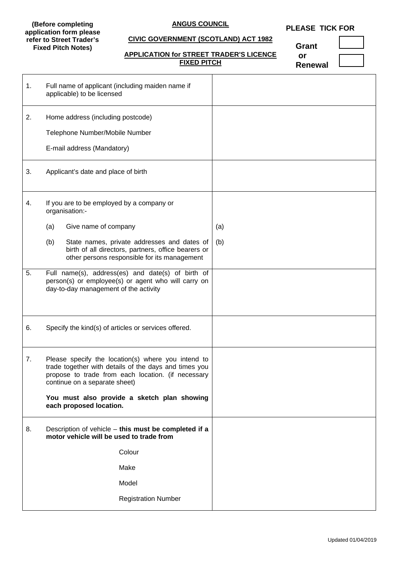#### **(Before completing application form please refer to Street Trader's Fixed Pitch Notes)**

#### **ANGUS COUNCIL**

# **PLEASE TICK FOR**

# **CIVIC GOVERNMENT (SCOTLAND) ACT 1982**

# **APPLICATION for STREET TRADER'S LICENCE FIXED PITCH**

**Grant or**

| Ωr             |  |
|----------------|--|
| <b>Renewal</b> |  |

| 1. | Full name of applicant (including maiden name if<br>applicable) to be licensed                                                                                                                     |     |
|----|----------------------------------------------------------------------------------------------------------------------------------------------------------------------------------------------------|-----|
| 2. | Home address (including postcode)                                                                                                                                                                  |     |
|    | Telephone Number/Mobile Number                                                                                                                                                                     |     |
|    | E-mail address (Mandatory)                                                                                                                                                                         |     |
| 3. | Applicant's date and place of birth                                                                                                                                                                |     |
| 4. | If you are to be employed by a company or<br>organisation:-                                                                                                                                        |     |
|    | Give name of company<br>(a)                                                                                                                                                                        | (a) |
|    | (b)<br>State names, private addresses and dates of<br>birth of all directors, partners, office bearers or<br>other persons responsible for its management                                          | (b) |
| 5. | Full name(s), address(es) and date(s) of birth of<br>person(s) or employee(s) or agent who will carry on<br>day-to-day management of the activity                                                  |     |
| 6. | Specify the kind(s) of articles or services offered.                                                                                                                                               |     |
| 7. | Please specify the location(s) where you intend to<br>trade together with details of the days and times you<br>propose to trade from each location. (if necessary<br>continue on a separate sheet) |     |
|    | You must also provide a sketch plan showing<br>each proposed location.                                                                                                                             |     |
| 8. | Description of vehicle - this must be completed if a<br>motor vehicle will be used to trade from                                                                                                   |     |
|    | Colour                                                                                                                                                                                             |     |
|    | Make                                                                                                                                                                                               |     |
|    | Model                                                                                                                                                                                              |     |
|    | <b>Registration Number</b>                                                                                                                                                                         |     |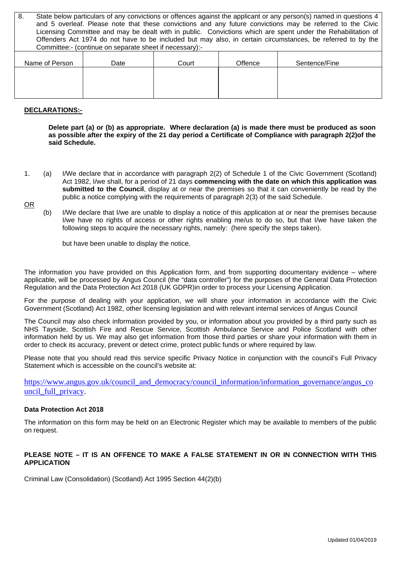| State below particulars of any convictions or offences against the applicant or any person(s) named in questions 4<br>8.<br>and 5 overleaf. Please note that these convictions and any future convictions may be referred to the Civic |                                                                                                             |       |         |               |  |
|----------------------------------------------------------------------------------------------------------------------------------------------------------------------------------------------------------------------------------------|-------------------------------------------------------------------------------------------------------------|-------|---------|---------------|--|
| Licensing Committee and may be dealt with in public. Convictions which are spent under the Rehabilitation of                                                                                                                           |                                                                                                             |       |         |               |  |
|                                                                                                                                                                                                                                        | Offenders Act 1974 do not have to be included but may also, in certain circumstances, be referred to by the |       |         |               |  |
| Committee:- (continue on separate sheet if necessary):-                                                                                                                                                                                |                                                                                                             |       |         |               |  |
| Name of Person                                                                                                                                                                                                                         | Date                                                                                                        | Court | Offence | Sentence/Fine |  |
|                                                                                                                                                                                                                                        |                                                                                                             |       |         |               |  |
|                                                                                                                                                                                                                                        |                                                                                                             |       |         |               |  |
|                                                                                                                                                                                                                                        |                                                                                                             |       |         |               |  |

#### **DECLARATIONS:-**

**Delete part (a) or (b) as appropriate. Where declaration (a) is made there must be produced as soon as possible after the expiry of the 21 day period a Certificate of Compliance with paragraph 2(2)of the said Schedule.**

1. (a) I/We declare that in accordance with paragraph 2(2) of Schedule 1 of the Civic Government (Scotland) Act 1982, I/we shall, for a period of 21 days **commencing with the date on which this application was submitted to the Council**, display at or near the premises so that it can conveniently be read by the public a notice complying with the requirements of paragraph 2(3) of the said Schedule.

OR

(b) I/We declare that I/we are unable to display a notice of this application at or near the premises because I/we have no rights of access or other rights enabling me/us to do so, but that I/we have taken the following steps to acquire the necessary rights, namely: (here specify the steps taken).

but have been unable to display the notice.

The information you have provided on this Application form, and from supporting documentary evidence – where applicable, will be processed by Angus Council (the "data controller") for the purposes of the General Data Protection Regulation and the Data Protection Act 2018 (UK GDPR)in order to process your Licensing Application.

For the purpose of dealing with your application, we will share your information in accordance with the Civic Government (Scotland) Act 1982, other licensing legislation and with relevant internal services of Angus Council

The Council may also check information provided by you, or information about you provided by a third party such as NHS Tayside, Scottish Fire and Rescue Service, Scottish Ambulance Service and Police Scotland with other information held by us. We may also get information from those third parties or share your information with them in order to check its accuracy, prevent or detect crime, protect public funds or where required by law.

Please note that you should read this service specific Privacy Notice in conjunction with the council's Full Privacy Statement which is accessible on the council's website at:

[https://www.angus.gov.uk/council\\_and\\_democracy/council\\_information/information\\_governance/angus\\_co](https://www.angus.gov.uk/council_and_democracy/council_information/information_governance/angus_council_full_privacy) [uncil\\_full\\_privacy.](https://www.angus.gov.uk/council_and_democracy/council_information/information_governance/angus_council_full_privacy)

#### **Data Protection Act 2018**

The information on this form may be held on an Electronic Register which may be available to members of the public on request.

### **PLEASE NOTE – IT IS AN OFFENCE TO MAKE A FALSE STATEMENT IN OR IN CONNECTION WITH THIS APPLICATION**

Criminal Law (Consolidation) (Scotland) Act 1995 Section 44(2)(b)